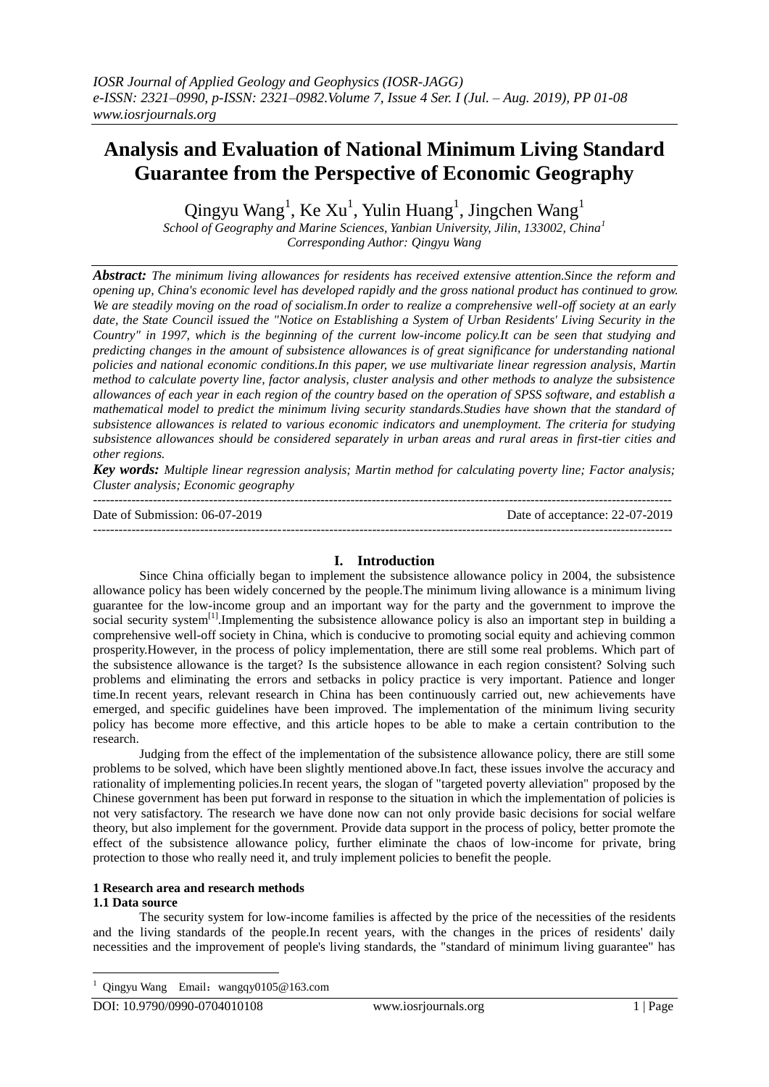# **Analysis and Evaluation of National Minimum Living Standard Guarantee from the Perspective of Economic Geography**

Qingyu Wang<sup>1</sup>, Ke Xu<sup>1</sup>, Yulin Huang<sup>1</sup>, Jingchen Wang<sup>1</sup>

*School of Geography and Marine Sciences, Yanbian University, Jilin, 133002, China<sup>1</sup> Corresponding Author: Qingyu Wang*

*Abstract: The minimum living allowances for residents has received extensive attention.Since the reform and opening up, China's economic level has developed rapidly and the gross national product has continued to grow. We are steadily moving on the road of socialism.In order to realize a comprehensive well-off society at an early date, the State Council issued the "Notice on Establishing a System of Urban Residents' Living Security in the Country" in 1997, which is the beginning of the current low-income policy.It can be seen that studying and predicting changes in the amount of subsistence allowances is of great significance for understanding national policies and national economic conditions.In this paper, we use multivariate linear regression analysis, Martin method to calculate poverty line, factor analysis, cluster analysis and other methods to analyze the subsistence allowances of each year in each region of the country based on the operation of SPSS software, and establish a mathematical model to predict the minimum living security standards.Studies have shown that the standard of subsistence allowances is related to various economic indicators and unemployment. The criteria for studying subsistence allowances should be considered separately in urban areas and rural areas in first-tier cities and other regions.*

*Key words: Multiple linear regression analysis; Martin method for calculating poverty line; Factor analysis; Cluster analysis; Economic geography*

---------------------------------------------------------------------------------------------------------------------------------------

Date of Submission: 06-07-2019 Date of acceptance: 22-07-2019 ---------------------------------------------------------------------------------------------------------------------------------------

## **I. Introduction**

Since China officially began to implement the subsistence allowance policy in 2004, the subsistence allowance policy has been widely concerned by the people.The minimum living allowance is a minimum living guarantee for the low-income group and an important way for the party and the government to improve the social security system<sup>[1]</sup>.Implementing the subsistence allowance policy is also an important step in building a comprehensive well-off society in China, which is conducive to promoting social equity and achieving common prosperity.However, in the process of policy implementation, there are still some real problems. Which part of the subsistence allowance is the target? Is the subsistence allowance in each region consistent? Solving such problems and eliminating the errors and setbacks in policy practice is very important. Patience and longer time.In recent years, relevant research in China has been continuously carried out, new achievements have emerged, and specific guidelines have been improved. The implementation of the minimum living security policy has become more effective, and this article hopes to be able to make a certain contribution to the research.

Judging from the effect of the implementation of the subsistence allowance policy, there are still some problems to be solved, which have been slightly mentioned above.In fact, these issues involve the accuracy and rationality of implementing policies.In recent years, the slogan of "targeted poverty alleviation" proposed by the Chinese government has been put forward in response to the situation in which the implementation of policies is not very satisfactory. The research we have done now can not only provide basic decisions for social welfare theory, but also implement for the government. Provide data support in the process of policy, better promote the effect of the subsistence allowance policy, further eliminate the chaos of low-income for private, bring protection to those who really need it, and truly implement policies to benefit the people.

## **1 Research area and research methods**

## **1.1 Data source**

-

The security system for low-income families is affected by the price of the necessities of the residents and the living standards of the people.In recent years, with the changes in the prices of residents' daily necessities and the improvement of people's living standards, the "standard of minimum living guarantee" has

Qingyu Wang Email: wangqy0105@163.com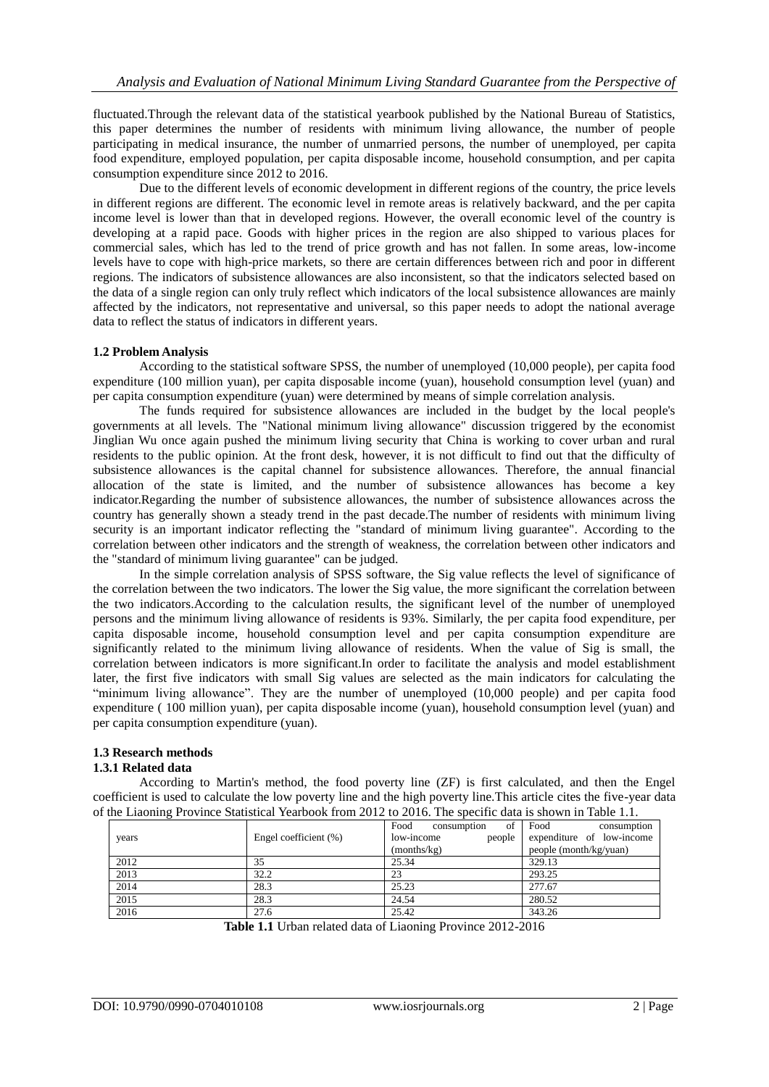fluctuated.Through the relevant data of the statistical yearbook published by the National Bureau of Statistics, this paper determines the number of residents with minimum living allowance, the number of people participating in medical insurance, the number of unmarried persons, the number of unemployed, per capita food expenditure, employed population, per capita disposable income, household consumption, and per capita consumption expenditure since 2012 to 2016.

Due to the different levels of economic development in different regions of the country, the price levels in different regions are different. The economic level in remote areas is relatively backward, and the per capita income level is lower than that in developed regions. However, the overall economic level of the country is developing at a rapid pace. Goods with higher prices in the region are also shipped to various places for commercial sales, which has led to the trend of price growth and has not fallen. In some areas, low-income levels have to cope with high-price markets, so there are certain differences between rich and poor in different regions. The indicators of subsistence allowances are also inconsistent, so that the indicators selected based on the data of a single region can only truly reflect which indicators of the local subsistence allowances are mainly affected by the indicators, not representative and universal, so this paper needs to adopt the national average data to reflect the status of indicators in different years.

## **1.2 Problem Analysis**

According to the statistical software SPSS, the number of unemployed (10,000 people), per capita food expenditure (100 million yuan), per capita disposable income (yuan), household consumption level (yuan) and per capita consumption expenditure (yuan) were determined by means of simple correlation analysis.

The funds required for subsistence allowances are included in the budget by the local people's governments at all levels. The "National minimum living allowance" discussion triggered by the economist Jinglian Wu once again pushed the minimum living security that China is working to cover urban and rural residents to the public opinion. At the front desk, however, it is not difficult to find out that the difficulty of subsistence allowances is the capital channel for subsistence allowances. Therefore, the annual financial allocation of the state is limited, and the number of subsistence allowances has become a key indicator.Regarding the number of subsistence allowances, the number of subsistence allowances across the country has generally shown a steady trend in the past decade.The number of residents with minimum living security is an important indicator reflecting the "standard of minimum living guarantee". According to the correlation between other indicators and the strength of weakness, the correlation between other indicators and the "standard of minimum living guarantee" can be judged.

In the simple correlation analysis of SPSS software, the Sig value reflects the level of significance of the correlation between the two indicators. The lower the Sig value, the more significant the correlation between the two indicators.According to the calculation results, the significant level of the number of unemployed persons and the minimum living allowance of residents is 93%. Similarly, the per capita food expenditure, per capita disposable income, household consumption level and per capita consumption expenditure are significantly related to the minimum living allowance of residents. When the value of Sig is small, the correlation between indicators is more significant.In order to facilitate the analysis and model establishment later, the first five indicators with small Sig values are selected as the main indicators for calculating the "minimum living allowance". They are the number of unemployed (10,000 people) and per capita food expenditure ( 100 million yuan), per capita disposable income (yuan), household consumption level (yuan) and per capita consumption expenditure (yuan).

## **1.3 Research methods**

## **1.3.1 Related data**

According to Martin's method, the food poverty line (ZF) is first calculated, and then the Engel coefficient is used to calculate the low poverty line and the high poverty line.This article cites the five-year data of the Liaoning Province Statistical Yearbook from 2012 to 2016. The specific data is shown in Table 1.1.

| years | Engel coefficient (%) | of<br>Food<br>consumption<br>people<br>low-income | Food<br>consumption<br>expenditure of low-income |
|-------|-----------------------|---------------------------------------------------|--------------------------------------------------|
|       |                       | (months/kg)                                       | people (month/kg/yuan)                           |
| 2012  | 35                    | 25.34                                             | 329.13                                           |
| 2013  | 32.2                  | 23                                                | 293.25                                           |
| 2014  | 28.3                  | 25.23                                             | 277.67                                           |
| 2015  | 28.3                  | 24.54                                             | 280.52                                           |
| 2016  | 27.6                  | 25.42                                             | 343.26                                           |

**Table 1.1** Urban related data of Liaoning Province 2012-2016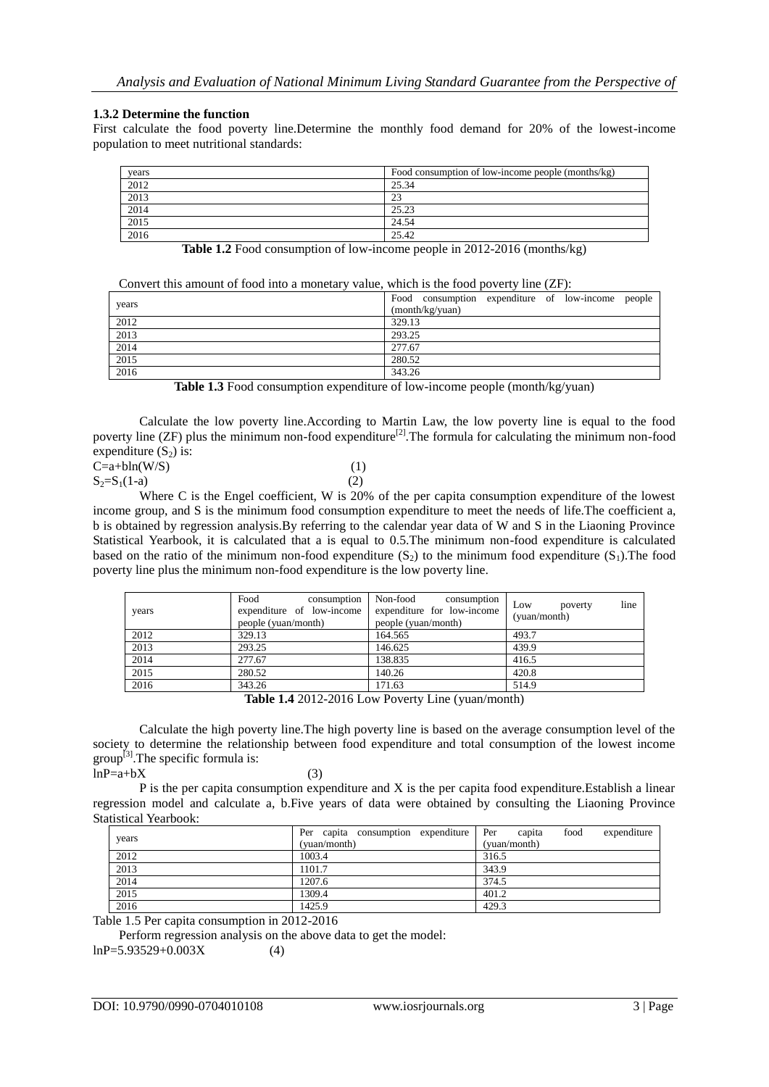#### **1.3.2 Determine the function**

First calculate the food poverty line.Determine the monthly food demand for 20% of the lowest-income population to meet nutritional standards:

| vears | Food consumption of low-income people (months/kg) |
|-------|---------------------------------------------------|
| 2012  | 25.34                                             |
| 2013  | 23                                                |
| 2014  | 25.23                                             |
| 2015  | 24.54                                             |
| 2016  | 25.42                                             |

**Table 1.2** Food consumption of low-income people in 2012-2016 (months/kg)

| Convert this amount of food into a monetary value, which is the food poverty line (ZF): |  |  |  |
|-----------------------------------------------------------------------------------------|--|--|--|
|                                                                                         |  |  |  |

| Food consumption expenditure of low-income people<br>years<br>(month/kg/yuan)<br>2012<br>329.13<br>2013<br>293.25<br>2014<br>277.67<br>2015<br>280.52<br>2016<br>343.26 | $\sim$ , with the control control of the color than $\sim$ and $\sim$ | $\frac{1}{2}$ $\frac{1}{2}$ $\frac{1}{2}$ $\frac{1}{2}$ $\frac{1}{2}$ $\frac{1}{2}$ $\frac{1}{2}$ $\frac{1}{2}$ $\frac{1}{2}$ $\frac{1}{2}$ $\frac{1}{2}$ $\frac{1}{2}$ $\frac{1}{2}$ $\frac{1}{2}$ $\frac{1}{2}$ $\frac{1}{2}$ $\frac{1}{2}$ $\frac{1}{2}$ $\frac{1}{2}$ $\frac{1}{2}$ $\frac{1}{2}$ $\frac{1}{2}$ |
|-------------------------------------------------------------------------------------------------------------------------------------------------------------------------|-----------------------------------------------------------------------|---------------------------------------------------------------------------------------------------------------------------------------------------------------------------------------------------------------------------------------------------------------------------------------------------------------------|
|                                                                                                                                                                         |                                                                       |                                                                                                                                                                                                                                                                                                                     |
|                                                                                                                                                                         |                                                                       |                                                                                                                                                                                                                                                                                                                     |
|                                                                                                                                                                         |                                                                       |                                                                                                                                                                                                                                                                                                                     |
|                                                                                                                                                                         |                                                                       |                                                                                                                                                                                                                                                                                                                     |
|                                                                                                                                                                         |                                                                       |                                                                                                                                                                                                                                                                                                                     |
|                                                                                                                                                                         |                                                                       |                                                                                                                                                                                                                                                                                                                     |
|                                                                                                                                                                         |                                                                       |                                                                                                                                                                                                                                                                                                                     |

**Table 1.3** Food consumption expenditure of low-income people (month/kg/yuan)

Calculate the low poverty line.According to Martin Law, the low poverty line is equal to the food poverty line (ZF) plus the minimum non-food expenditure<sup>[2]</sup>. The formula for calculating the minimum non-food expenditure  $(S_2)$  is:

| $C=a+bln(W/S)$   |     |
|------------------|-----|
| $S_2 = S_1(1-a)$ | (2) |

Where C is the Engel coefficient, W is 20% of the per capita consumption expenditure of the lowest income group, and S is the minimum food consumption expenditure to meet the needs of life.The coefficient a, b is obtained by regression analysis.By referring to the calendar year data of W and S in the Liaoning Province Statistical Yearbook, it is calculated that a is equal to 0.5.The minimum non-food expenditure is calculated based on the ratio of the minimum non-food expenditure  $(S_2)$  to the minimum food expenditure  $(S_1)$ . The food poverty line plus the minimum non-food expenditure is the low poverty line.

| years | Food<br>consumption<br>expenditure of low-income<br>people (yuan/month) | Non-food<br>consumption<br>expenditure for low-income<br>people (yuan/month) | line<br>Low<br>poverty<br>(yuan/month) |
|-------|-------------------------------------------------------------------------|------------------------------------------------------------------------------|----------------------------------------|
| 2012  | 329.13                                                                  | 164.565                                                                      | 493.7                                  |
| 2013  | 293.25                                                                  | 146.625                                                                      | 439.9                                  |
| 2014  | 277.67                                                                  | 138.835                                                                      | 416.5                                  |
| 2015  | 280.52                                                                  | 140.26                                                                       | 420.8                                  |
| 2016  | 343.26                                                                  | 171.63                                                                       | 514.9                                  |
|       |                                                                         | $T111440100127 \t R \t T$                                                    |                                        |

**Table 1.4** 2012-2016 Low Poverty Line (yuan/month)

Calculate the high poverty line.The high poverty line is based on the average consumption level of the society to determine the relationship between food expenditure and total consumption of the lowest income  $\text{group}^{\left[3\right]}$ . The specific formula is:

 $lnP=a+bX$  (3)

P is the per capita consumption expenditure and X is the per capita food expenditure.Establish a linear regression model and calculate a, b.Five years of data were obtained by consulting the Liaoning Province Statistical Yearbook:

| years | Per capita consumption expenditure Per | food<br>expenditure<br>capita |  |
|-------|----------------------------------------|-------------------------------|--|
|       | (yuan/month)                           | (yuan/month)                  |  |
| 2012  | 1003.4                                 | 316.5                         |  |
| 2013  | 1101.7                                 | 343.9                         |  |
| 2014  | 1207.6                                 | 374.5                         |  |
| 2015  | 1309.4                                 | 401.2                         |  |
| 2016  | 1425.9                                 | 429.3                         |  |

Table 1.5 Per capita consumption in 2012-2016

Perform regression analysis on the above data to get the model:

 $lnP=5.93529+0.003X$  (4)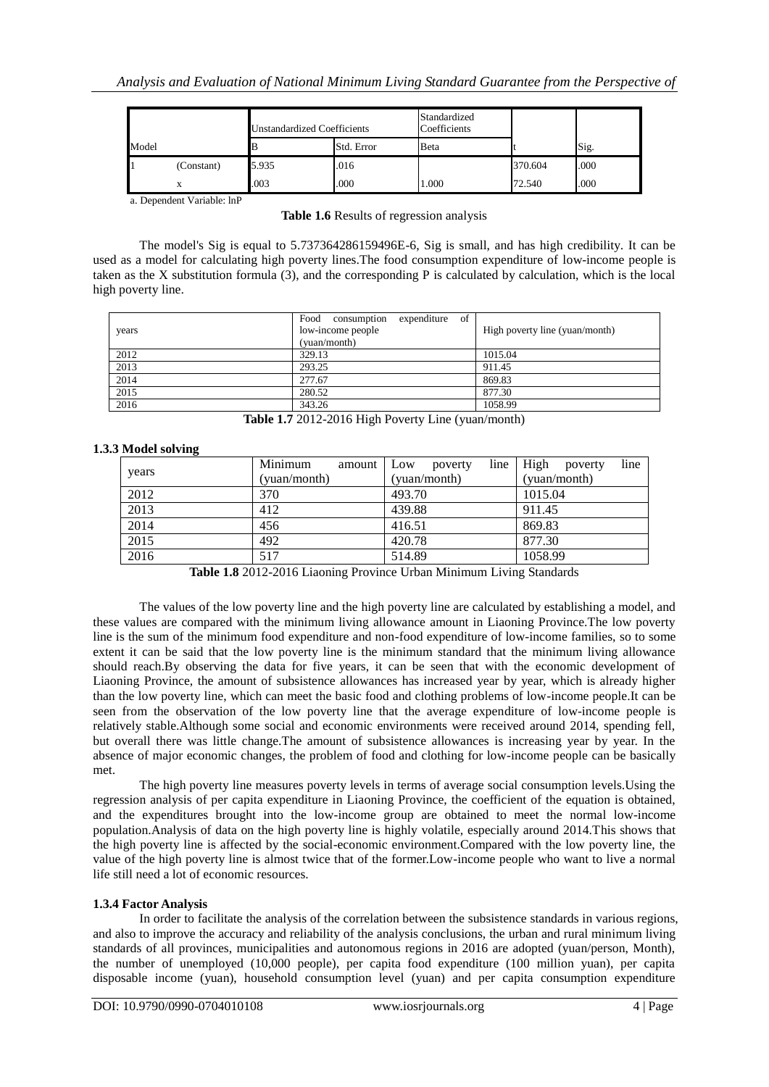|       |            | <b>Unstandardized Coefficients</b> |            | Standardized<br>Coefficients |         |      |
|-------|------------|------------------------------------|------------|------------------------------|---------|------|
| Model |            | B                                  | Std. Error | Beta                         |         | Sig. |
|       | (Constant) | 5.935                              | .016       |                              | 370.604 | .000 |
|       | х          | .003                               | .000       | 1.000                        | 72.540  | .000 |

a. Dependent Variable: lnP

**Table 1.6** Results of regression analysis

The model's Sig is equal to 5.737364286159496E-6, Sig is small, and has high credibility. It can be used as a model for calculating high poverty lines.The food consumption expenditure of low-income people is taken as the X substitution formula (3), and the corresponding P is calculated by calculation, which is the local high poverty line.

| years | of<br>Food<br>expenditure<br>consumption<br>low-income people<br>(yuan/month) | High poverty line (yuan/month) |
|-------|-------------------------------------------------------------------------------|--------------------------------|
| 2012  | 329.13                                                                        | 1015.04                        |
| 2013  | 293.25                                                                        | 911.45                         |
| 2014  | 277.67                                                                        | 869.83                         |
| 2015  | 280.52                                                                        | 877.30                         |
| 2016  | 343.26                                                                        | 1058.99                        |

**Table 1.7** 2012-2016 High Poverty Line (yuan/month)

## **1.3.3 Model solving**

|       | Minimum<br>amount | line<br>Low<br>poverty | line<br>High<br>poverty |  |
|-------|-------------------|------------------------|-------------------------|--|
| years | (yuan/month)      | (yuan/month)           | (yuan/month)            |  |
| 2012  | 370               | 493.70                 | 1015.04                 |  |
| 2013  | 412               | 439.88                 | 911.45                  |  |
| 2014  | 456               | 416.51                 | 869.83                  |  |
| 2015  | 492               | 420.78                 | 877.30                  |  |
| 2016  | 517               | 514.89                 | 1058.99                 |  |

**Table 1.8** 2012-2016 Liaoning Province Urban Minimum Living Standards

The values of the low poverty line and the high poverty line are calculated by establishing a model, and these values are compared with the minimum living allowance amount in Liaoning Province.The low poverty line is the sum of the minimum food expenditure and non-food expenditure of low-income families, so to some extent it can be said that the low poverty line is the minimum standard that the minimum living allowance should reach.By observing the data for five years, it can be seen that with the economic development of Liaoning Province, the amount of subsistence allowances has increased year by year, which is already higher than the low poverty line, which can meet the basic food and clothing problems of low-income people.It can be seen from the observation of the low poverty line that the average expenditure of low-income people is relatively stable.Although some social and economic environments were received around 2014, spending fell, but overall there was little change.The amount of subsistence allowances is increasing year by year. In the absence of major economic changes, the problem of food and clothing for low-income people can be basically met.

The high poverty line measures poverty levels in terms of average social consumption levels.Using the regression analysis of per capita expenditure in Liaoning Province, the coefficient of the equation is obtained, and the expenditures brought into the low-income group are obtained to meet the normal low-income population.Analysis of data on the high poverty line is highly volatile, especially around 2014.This shows that the high poverty line is affected by the social-economic environment.Compared with the low poverty line, the value of the high poverty line is almost twice that of the former.Low-income people who want to live a normal life still need a lot of economic resources.

## **1.3.4 Factor Analysis**

In order to facilitate the analysis of the correlation between the subsistence standards in various regions, and also to improve the accuracy and reliability of the analysis conclusions, the urban and rural minimum living standards of all provinces, municipalities and autonomous regions in 2016 are adopted (yuan/person, Month), the number of unemployed (10,000 people), per capita food expenditure (100 million yuan), per capita disposable income (yuan), household consumption level (yuan) and per capita consumption expenditure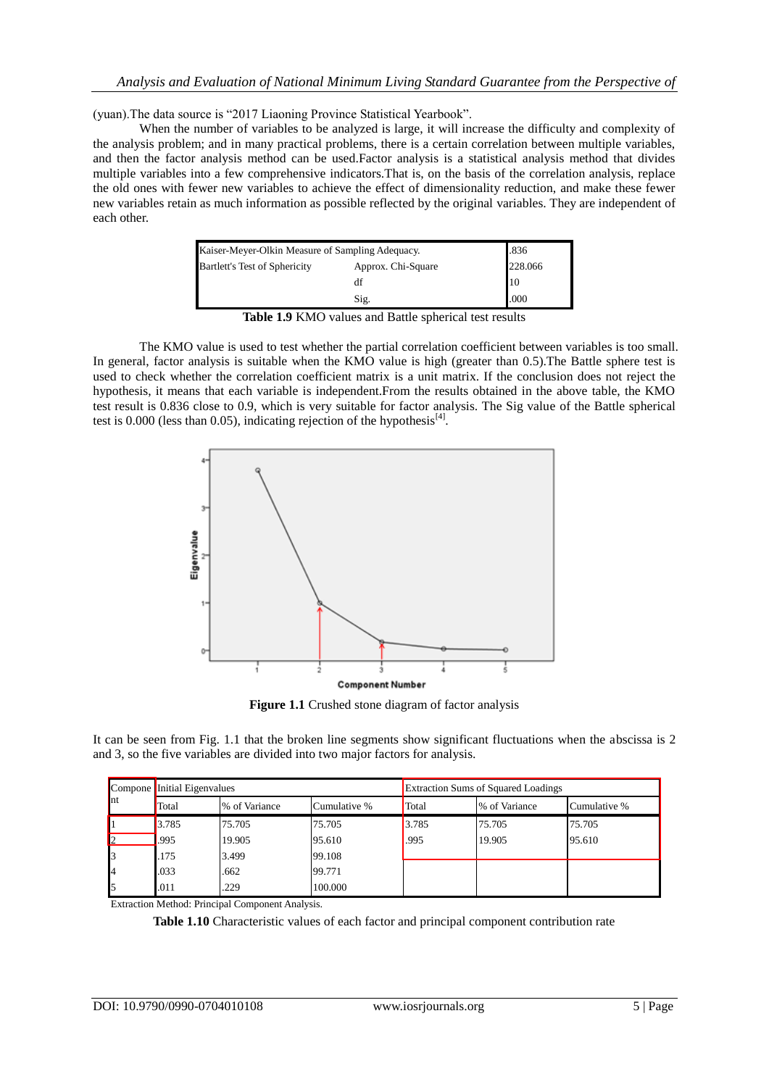(yuan).The data source is "2017 Liaoning Province Statistical Yearbook".

When the number of variables to be analyzed is large, it will increase the difficulty and complexity of the analysis problem; and in many practical problems, there is a certain correlation between multiple variables, and then the factor analysis method can be used.Factor analysis is a statistical analysis method that divides multiple variables into a few comprehensive indicators.That is, on the basis of the correlation analysis, replace the old ones with fewer new variables to achieve the effect of dimensionality reduction, and make these fewer new variables retain as much information as possible reflected by the original variables. They are independent of each other.

| Kaiser-Meyer-Olkin Measure of Sampling Adequacy. | .836    |                |
|--------------------------------------------------|---------|----------------|
| Bartlett's Test of Sphericity                    | 228.066 |                |
|                                                  | df      | $\blacksquare$ |
|                                                  | .000    |                |

**Table 1.9** KMO values and Battle spherical test results

The KMO value is used to test whether the partial correlation coefficient between variables is too small. In general, factor analysis is suitable when the KMO value is high (greater than 0.5).The Battle sphere test is used to check whether the correlation coefficient matrix is a unit matrix. If the conclusion does not reject the hypothesis, it means that each variable is independent.From the results obtained in the above table, the KMO test result is 0.836 close to 0.9, which is very suitable for factor analysis. The Sig value of the Battle spherical test is 0.000 (less than 0.05), indicating rejection of the hypothesis<sup>[4]</sup>.



**Figure 1.1** Crushed stone diagram of factor analysis

It can be seen from Fig. 1.1 that the broken line segments show significant fluctuations when the abscissa is 2 and 3, so the five variables are divided into two major factors for analysis.

|              | Compone Initial Eigenvalues            |        | <b>Extraction Sums of Squared Loadings</b> |               |              |        |
|--------------|----------------------------------------|--------|--------------------------------------------|---------------|--------------|--------|
| $\ln t$      | % of Variance<br>Cumulative %<br>Total |        | Total                                      | % of Variance | Cumulative % |        |
|              | 3.785                                  | 75.705 | 75.705                                     | 3.785         | 75.705       | 75.705 |
| $\mathbf{z}$ | .995                                   | 19.905 | 95.610                                     | .995          | 19.905       | 95.610 |
| 3            | 175                                    | 3.499  | 99.108                                     |               |              |        |
| $\mathbf{I}$ | .033                                   | .662   | 99.771                                     |               |              |        |
| l5           | .011                                   | .229   | 100.000                                    |               |              |        |

Extraction Method: Principal Component Analysis.

**Table 1.10** Characteristic values of each factor and principal component contribution rate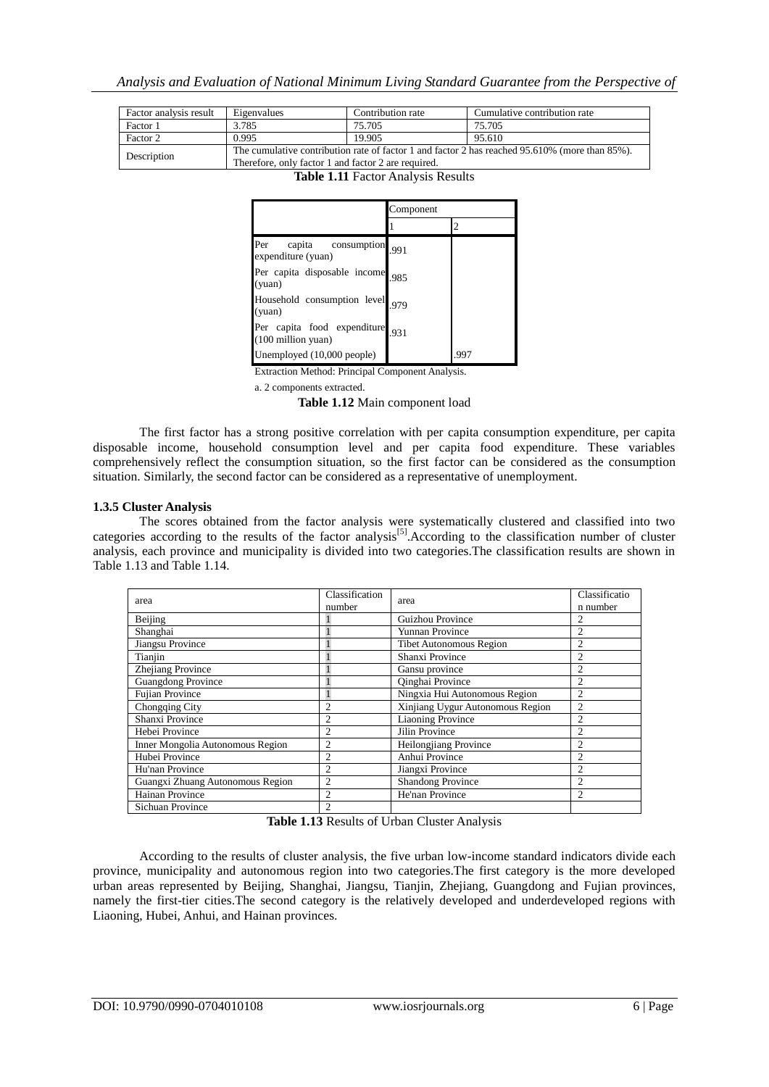| Factor analysis result | Eigenvalues                                                                                                                                           | Contribution rate | Cumulative contribution rate |  |
|------------------------|-------------------------------------------------------------------------------------------------------------------------------------------------------|-------------------|------------------------------|--|
| Factor 1               | 3.785                                                                                                                                                 | 75.705            | 75.705                       |  |
| Factor 2               | 0.995                                                                                                                                                 | 19.905            | 95.610                       |  |
| Description            | The cumulative contribution rate of factor 1 and factor 2 has reached 95.610% (more than 85%).<br>Therefore, only factor 1 and factor 2 are required. |                   |                              |  |

**Table 1.11** Factor Analysis Results

|                                                                    | Component |      |
|--------------------------------------------------------------------|-----------|------|
|                                                                    |           |      |
| Per<br>consumption <sub>1991</sub><br>capita<br>expenditure (yuan) |           |      |
| Per capita disposable income<br>(yuan)                             | 985       |      |
| Household consumption level<br>(yuan)                              | 979       |      |
| Per capita food expenditure<br>(100 million yuan)                  | 931       |      |
| Unemployed (10,000 people)                                         |           | .997 |

Extraction Method: Principal Component Analysis.

a. 2 components extracted.

**Table 1.12** Main component load

The first factor has a strong positive correlation with per capita consumption expenditure, per capita disposable income, household consumption level and per capita food expenditure. These variables comprehensively reflect the consumption situation, so the first factor can be considered as the consumption situation. Similarly, the second factor can be considered as a representative of unemployment.

#### **1.3.5 Cluster Analysis**

The scores obtained from the factor analysis were systematically clustered and classified into two categories according to the results of the factor analysis<sup>[5]</sup>.According to the classification number of cluster analysis, each province and municipality is divided into two categories.The classification results are shown in Table 1.13 and Table 1.14.

| area                             | Classification<br>number | area                             | Classificatio<br>n number |
|----------------------------------|--------------------------|----------------------------------|---------------------------|
| Beijing                          |                          | Guizhou Province                 | 2                         |
| Shanghai                         |                          | Yunnan Province                  | $\overline{c}$            |
| Jiangsu Province                 |                          | <b>Tibet Autonomous Region</b>   | $\overline{c}$            |
| Tianjin                          |                          | Shanxi Province                  | $\overline{c}$            |
| Zhejiang Province                |                          | Gansu province                   | 2                         |
| <b>Guangdong Province</b>        |                          | Qinghai Province                 | $\overline{c}$            |
| <b>Fujian Province</b>           |                          | Ningxia Hui Autonomous Region    | 2                         |
| Chongqing City                   | $\overline{2}$           | Xinjiang Uygur Autonomous Region | 2                         |
| Shanxi Province                  | $\overline{c}$           | <b>Liaoning Province</b>         | $\overline{c}$            |
| Hebei Province                   | $\overline{c}$           | Jilin Province                   | $\overline{c}$            |
| Inner Mongolia Autonomous Region | $\overline{c}$           | Heilongjiang Province            | 2                         |
| Hubei Province                   | $\overline{c}$           | Anhui Province                   | 2                         |
| Hu'nan Province                  | $\overline{c}$           | Jiangxi Province                 | $\overline{c}$            |
| Guangxi Zhuang Autonomous Region | $\overline{c}$           | <b>Shandong Province</b>         | $\overline{c}$            |
| Hainan Province                  | $\mathfrak{D}$           | He'nan Province                  | $\overline{c}$            |
| Sichuan Province                 | $\overline{c}$           |                                  |                           |

**Table 1.13** Results of Urban Cluster Analysis

According to the results of cluster analysis, the five urban low-income standard indicators divide each province, municipality and autonomous region into two categories.The first category is the more developed urban areas represented by Beijing, Shanghai, Jiangsu, Tianjin, Zhejiang, Guangdong and Fujian provinces, namely the first-tier cities.The second category is the relatively developed and underdeveloped regions with Liaoning, Hubei, Anhui, and Hainan provinces.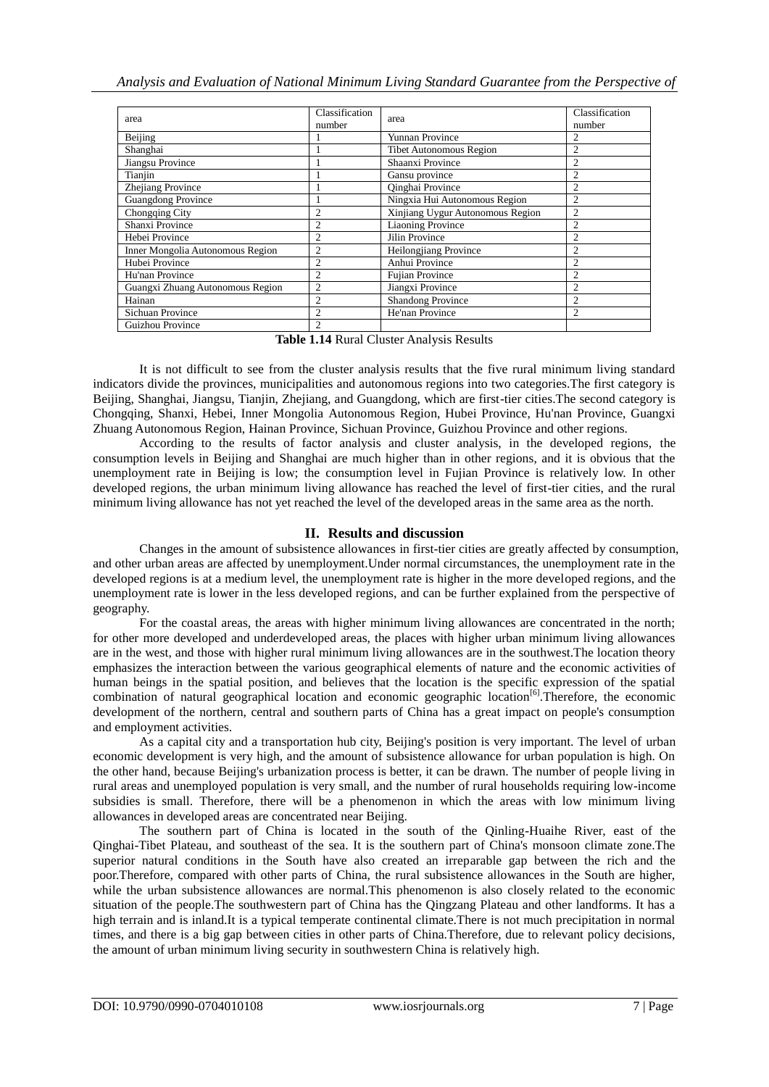| area                             | Classification<br>number | area                             | Classification<br>number |
|----------------------------------|--------------------------|----------------------------------|--------------------------|
| Beijing                          |                          | Yunnan Province                  | 2                        |
| Shanghai                         |                          | <b>Tibet Autonomous Region</b>   | $\overline{c}$           |
| Jiangsu Province                 |                          | Shaanxi Province                 | $\overline{2}$           |
| Tianjin                          |                          | Gansu province                   | $\overline{c}$           |
| Zhejiang Province                |                          | Oinghai Province                 | $\overline{c}$           |
| <b>Guangdong Province</b>        |                          | Ningxia Hui Autonomous Region    | $\overline{2}$           |
| Chongqing City                   | 2                        | Xinjiang Uygur Autonomous Region | 2                        |
| Shanxi Province                  | 2                        | <b>Liaoning Province</b>         | 2                        |
| Hebei Province                   | $\overline{c}$           | Jilin Province                   | $\overline{c}$           |
| Inner Mongolia Autonomous Region | $\overline{c}$           | Heilongjiang Province            | $\overline{c}$           |
| Hubei Province                   | $\overline{c}$           | Anhui Province                   | $\overline{c}$           |
| Hu'nan Province                  | $\overline{c}$           | <b>Fujian Province</b>           | $\overline{c}$           |
| Guangxi Zhuang Autonomous Region | $\overline{c}$           | Jiangxi Province                 | $\overline{c}$           |
| Hainan                           | $\overline{c}$           | <b>Shandong Province</b>         | $\overline{c}$           |
| Sichuan Province                 | $\overline{c}$           | He'nan Province                  | $\overline{c}$           |
| Guizhou Province                 | $\mathfrak{D}$           |                                  |                          |

**Table 1.14** Rural Cluster Analysis Results

It is not difficult to see from the cluster analysis results that the five rural minimum living standard indicators divide the provinces, municipalities and autonomous regions into two categories.The first category is Beijing, Shanghai, Jiangsu, Tianjin, Zhejiang, and Guangdong, which are first-tier cities.The second category is Chongqing, Shanxi, Hebei, Inner Mongolia Autonomous Region, Hubei Province, Hu'nan Province, Guangxi Zhuang Autonomous Region, Hainan Province, Sichuan Province, Guizhou Province and other regions.

According to the results of factor analysis and cluster analysis, in the developed regions, the consumption levels in Beijing and Shanghai are much higher than in other regions, and it is obvious that the unemployment rate in Beijing is low; the consumption level in Fujian Province is relatively low. In other developed regions, the urban minimum living allowance has reached the level of first-tier cities, and the rural minimum living allowance has not yet reached the level of the developed areas in the same area as the north.

# **II. Results and discussion**

Changes in the amount of subsistence allowances in first-tier cities are greatly affected by consumption, and other urban areas are affected by unemployment.Under normal circumstances, the unemployment rate in the developed regions is at a medium level, the unemployment rate is higher in the more developed regions, and the unemployment rate is lower in the less developed regions, and can be further explained from the perspective of geography.

For the coastal areas, the areas with higher minimum living allowances are concentrated in the north; for other more developed and underdeveloped areas, the places with higher urban minimum living allowances are in the west, and those with higher rural minimum living allowances are in the southwest.The location theory emphasizes the interaction between the various geographical elements of nature and the economic activities of human beings in the spatial position, and believes that the location is the specific expression of the spatial combination of natural geographical location and economic geographic location<sup>[6]</sup>. Therefore, the economic development of the northern, central and southern parts of China has a great impact on people's consumption and employment activities.

As a capital city and a transportation hub city, Beijing's position is very important. The level of urban economic development is very high, and the amount of subsistence allowance for urban population is high. On the other hand, because Beijing's urbanization process is better, it can be drawn. The number of people living in rural areas and unemployed population is very small, and the number of rural households requiring low-income subsidies is small. Therefore, there will be a phenomenon in which the areas with low minimum living allowances in developed areas are concentrated near Beijing.

The southern part of China is located in the south of the Qinling-Huaihe River, east of the Qinghai-Tibet Plateau, and southeast of the sea. It is the southern part of China's monsoon climate zone.The superior natural conditions in the South have also created an irreparable gap between the rich and the poor.Therefore, compared with other parts of China, the rural subsistence allowances in the South are higher, while the urban subsistence allowances are normal.This phenomenon is also closely related to the economic situation of the people.The southwestern part of China has the Qingzang Plateau and other landforms. It has a high terrain and is inland.It is a typical temperate continental climate.There is not much precipitation in normal times, and there is a big gap between cities in other parts of China.Therefore, due to relevant policy decisions, the amount of urban minimum living security in southwestern China is relatively high.